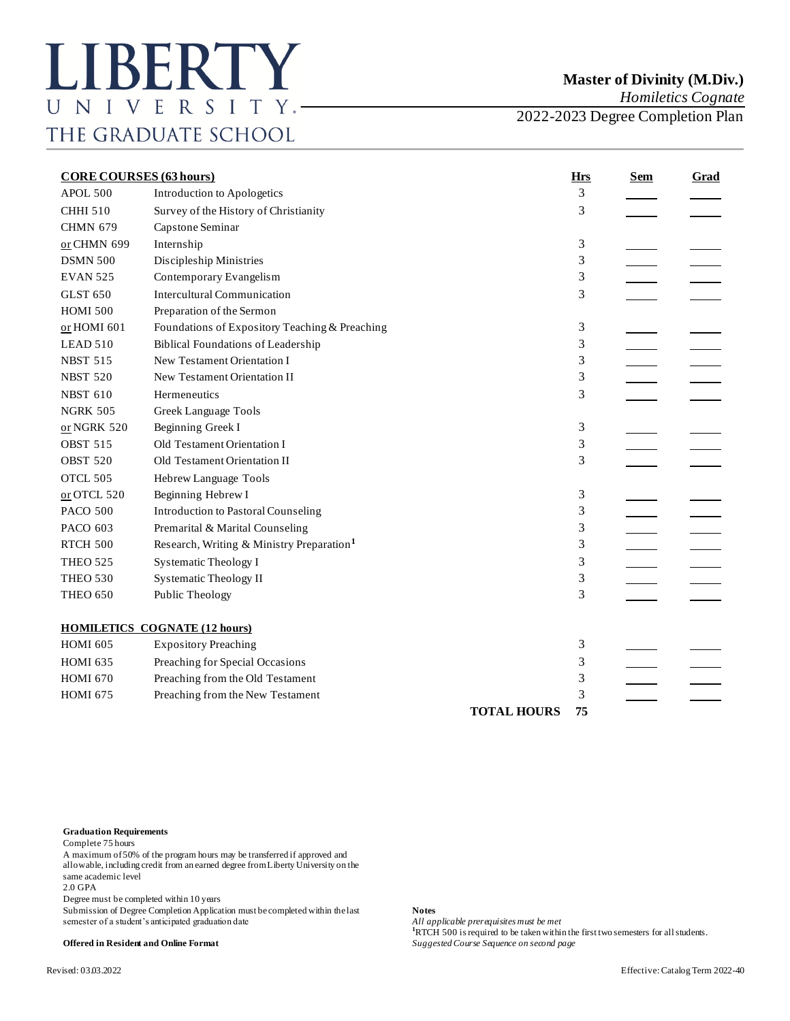*Homiletics Cognate*

2022-2023 Degree Completion Plan

| <b>CORE COURSES (63 hours)</b> |                                                       | <b>Hrs</b>         | <b>Sem</b> | <b>Grad</b> |  |
|--------------------------------|-------------------------------------------------------|--------------------|------------|-------------|--|
| APOL 500                       | Introduction to Apologetics                           |                    | 3          |             |  |
| <b>CHHI 510</b>                | Survey of the History of Christianity                 |                    | 3          |             |  |
| <b>CHMN 679</b>                | Capstone Seminar                                      |                    |            |             |  |
| or CHMN 699                    | Internship                                            |                    | 3          |             |  |
| <b>DSMN 500</b>                | Discipleship Ministries                               |                    | 3          |             |  |
| <b>EVAN 525</b>                | Contemporary Evangelism                               |                    | 3          |             |  |
| <b>GLST 650</b>                | <b>Intercultural Communication</b>                    |                    | 3          |             |  |
| <b>HOMI 500</b>                | Preparation of the Sermon                             |                    |            |             |  |
| or HOMI 601                    | Foundations of Expository Teaching & Preaching        |                    | 3          |             |  |
| LEAD 510                       | <b>Biblical Foundations of Leadership</b>             |                    | 3          |             |  |
| <b>NBST 515</b>                | New Testament Orientation I                           |                    | 3          |             |  |
| <b>NBST 520</b>                | New Testament Orientation II                          |                    | 3          |             |  |
| <b>NBST 610</b>                | Hermeneutics                                          |                    | 3          |             |  |
| <b>NGRK 505</b>                | <b>Greek Language Tools</b>                           |                    |            |             |  |
| or NGRK 520                    | Beginning Greek I                                     |                    | 3          |             |  |
| <b>OBST 515</b>                | Old Testament Orientation I                           |                    | 3          |             |  |
| <b>OBST 520</b>                | Old Testament Orientation II                          |                    | 3          |             |  |
| OTCL 505                       | Hebrew Language Tools                                 |                    |            |             |  |
| or OTCL 520                    | Beginning Hebrew I                                    |                    | 3          |             |  |
| <b>PACO 500</b>                | <b>Introduction to Pastoral Counseling</b>            |                    | 3          |             |  |
| PACO 603                       | Premarital & Marital Counseling                       |                    | 3          |             |  |
| RTCH 500                       | Research, Writing & Ministry Preparation <sup>1</sup> |                    | 3          |             |  |
| <b>THEO 525</b>                | Systematic Theology I                                 |                    | 3          |             |  |
| <b>THEO 530</b>                | <b>Systematic Theology II</b>                         |                    | 3          |             |  |
| <b>THEO 650</b>                | Public Theology                                       |                    | 3          |             |  |
|                                |                                                       |                    |            |             |  |
|                                | <b>HOMILETICS COGNATE (12 hours)</b>                  |                    |            |             |  |
| <b>HOMI 605</b>                | <b>Expository Preaching</b>                           |                    | 3          |             |  |
| <b>HOMI 635</b>                | Preaching for Special Occasions                       |                    | 3          |             |  |
| <b>HOMI 670</b>                | Preaching from the Old Testament                      |                    | 3          |             |  |
| <b>HOMI 675</b>                | Preaching from the New Testament                      |                    | 3          |             |  |
|                                |                                                       | <b>TOTAL HOURS</b> | 75         |             |  |

## **Graduation Requirements**

Complete 75 hours

A maximum of 50% of the program hours may be transferred if approved and allowable, including credit from an earned degree from Liberty University on the same academic level

2.0 GPA

Degree must be completed within 10 years

Submission of Degree Completion Application must be completed within the last **Notes** semester of a student's anticipated graduation date

All applicable prerequisites must be met **hand the first two semesters for all students. <sup>1</sup>RTCH 500** is required to be taken within the first two semesters for all students. **Offered in Resident and Online Format** *Suggested Course Sequence on second page*